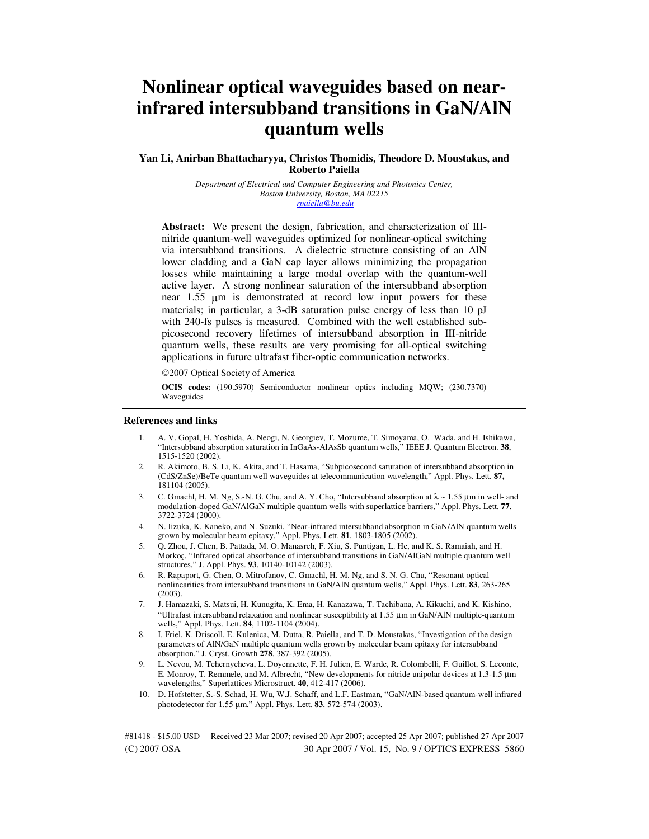# **Nonlinear optical waveguides based on nearinfrared intersubband transitions in GaN/AlN quantum wells**

## **Yan Li, Anirban Bhattacharyya, Christos Thomidis, Theodore D. Moustakas, and Roberto Paiella**

*Department of Electrical and Computer Engineering and Photonics Center, Boston University, Boston, MA 02215 rpaiella@bu.edu*

**Abstract:** We present the design, fabrication, and characterization of IIInitride quantum-well waveguides optimized for nonlinear-optical switching via intersubband transitions. A dielectric structure consisting of an AlN lower cladding and a GaN cap layer allows minimizing the propagation losses while maintaining a large modal overlap with the quantum-well active layer. A strong nonlinear saturation of the intersubband absorption near  $1.55 \mu m$  is demonstrated at record low input powers for these materials; in particular, a 3-dB saturation pulse energy of less than 10 pJ with 240-fs pulses is measured. Combined with the well established subpicosecond recovery lifetimes of intersubband absorption in III-nitride quantum wells, these results are very promising for all-optical switching applications in future ultrafast fiber-optic communication networks.

©2007 Optical Society of America

**OCIS codes:** (190.5970) Semiconductor nonlinear optics including MQW; (230.7370) Waveguides

#### **References and links**

- 1. A. V. Gopal, H. Yoshida, A. Neogi, N. Georgiev, T. Mozume, T. Simoyama, O. Wada, and H. Ishikawa, "Intersubband absorption saturation in InGaAs-AlAsSb quantum wells," IEEE J. Quantum Electron. **38**, 1515-1520 (2002).
- 2. R. Akimoto, B. S. Li, K. Akita, and T. Hasama, "Subpicosecond saturation of intersubband absorption in (CdS/ZnSe)/BeTe quantum well waveguides at telecommunication wavelength," Appl. Phys. Lett. **87,** 181104 (2005).
- 3. C. Gmachl, H. M. Ng, S.-N. G. Chu, and A. Y. Cho, "Intersubband absorption at  $\lambda \sim 1.55$  µm in well- and modulation-doped GaN/AlGaN multiple quantum wells with superlattice barriers," Appl. Phys. Lett. **77**, 3722-3724 (2000).
- 4. N. Iizuka, K. Kaneko, and N. Suzuki, "Near-infrared intersubband absorption in GaN/AlN quantum wells grown by molecular beam epitaxy," Appl. Phys. Lett. **81**, 1803-1805 (2002).
- 5. Q. Zhou, J. Chen, B. Pattada, M. O. Manasreh, F. Xiu, S. Puntigan, L. He, and K. S. Ramaiah, and H. Morkoç, "Infrared optical absorbance of intersubband transitions in GaN/AlGaN multiple quantum well structures," J. Appl. Phys. **93**, 10140-10142 (2003).
- 6. R. Rapaport, G. Chen, O. Mitrofanov, C. Gmachl, H. M. Ng, and S. N. G. Chu, "Resonant optical nonlinearities from intersubband transitions in GaN/AlN quantum wells," Appl. Phys. Lett. **83**, 263-265 (2003).
- 7. J. Hamazaki, S. Matsui, H. Kunugita, K. Ema, H. Kanazawa, T. Tachibana, A. Kikuchi, and K. Kishino, "Ultrafast intersubband relaxation and nonlinear susceptibility at 1.55 µm in GaN/AlN multiple-quantum wells," Appl. Phys. Lett. **84**, 1102-1104 (2004).
- 8. I. Friel, K. Driscoll, E. Kulenica, M. Dutta, R. Paiella, and T. D. Moustakas, "Investigation of the design parameters of AlN/GaN multiple quantum wells grown by molecular beam epitaxy for intersubband absorption," J. Cryst. Growth **278**, 387-392 (2005).
- 9. L. Nevou, M. Tchernycheva, L. Doyennette, F. H. Julien, E. Warde, R. Colombelli, F. Guillot, S. Leconte, E. Monroy, T. Remmele, and M. Albrecht, "New developments for nitride unipolar devices at 1.3-1.5 µm wavelengths," Superlattices Microstruct. **40**, 412-417 (2006).
- 10. D. Hofstetter, S.-S. Schad, H. Wu, W.J. Schaff, and L.F. Eastman, "GaN/AlN-based quantum-well infrared photodetector for 1.55 µm," Appl. Phys. Lett. **83**, 572-574 (2003).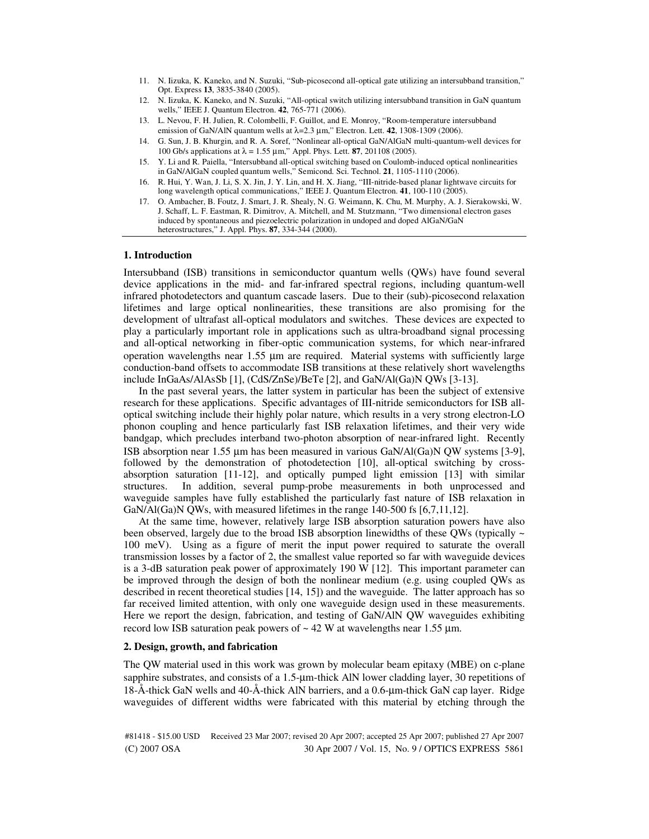- 11. N. Iizuka, K. Kaneko, and N. Suzuki, "Sub-picosecond all-optical gate utilizing an intersubband transition," Opt. Express **13**, 3835-3840 (2005).
- 12. N. Iizuka, K. Kaneko, and N. Suzuki, "All-optical switch utilizing intersubband transition in GaN quantum wells," IEEE J. Quantum Electron. **42**, 765-771 (2006).
- 13. L. Nevou, F. H. Julien, R. Colombelli, F. Guillot, and E. Monroy, "Room-temperature intersubband emission of GaN/AlN quantum wells at  $\lambda$ =2.3  $\mu$ m," Electron. Lett. **42**, 1308-1309 (2006).
- 14. G. Sun, J. B. Khurgin, and R. A. Soref, "Nonlinear all-optical GaN/AlGaN multi-quantum-well devices for 100 Gb/s applications at λ = 1.55 µm," Appl. Phys. Lett. **87**, 201108 (2005).
- 15. Y. Li and R. Paiella, "Intersubband all-optical switching based on Coulomb-induced optical nonlinearities in GaN/AlGaN coupled quantum wells," Semicond. Sci. Technol. **21**, 1105-1110 (2006).
- 16. R. Hui, Y. Wan, J. Li, S. X. Jin, J. Y. Lin, and H. X. Jiang, "III-nitride-based planar lightwave circuits for long wavelength optical communications," IEEE J. Quantum Electron. **41**, 100-110 (2005).
- 17. O. Ambacher, B. Foutz, J. Smart, J. R. Shealy, N. G. Weimann, K. Chu, M. Murphy, A. J. Sierakowski, W. J. Schaff, L. F. Eastman, R. Dimitrov, A. Mitchell, and M. Stutzmann, "Two dimensional electron gases induced by spontaneous and piezoelectric polarization in undoped and doped AlGaN/GaN heterostructures," J. Appl. Phys. **87**, 334-344 (2000).

### **1. Introduction**

Intersubband (ISB) transitions in semiconductor quantum wells (QWs) have found several device applications in the mid- and far-infrared spectral regions, including quantum-well infrared photodetectors and quantum cascade lasers. Due to their (sub)-picosecond relaxation lifetimes and large optical nonlinearities, these transitions are also promising for the development of ultrafast all-optical modulators and switches. These devices are expected to play a particularly important role in applications such as ultra-broadband signal processing and all-optical networking in fiber-optic communication systems, for which near-infrared operation wavelengths near 1.55 µm are required. Material systems with sufficiently large conduction-band offsets to accommodate ISB transitions at these relatively short wavelengths include InGaAs/AlAsSb [1], (CdS/ZnSe)/BeTe [2], and GaN/Al(Ga)N QWs [3-13].

In the past several years, the latter system in particular has been the subject of extensive research for these applications. Specific advantages of III-nitride semiconductors for ISB alloptical switching include their highly polar nature, which results in a very strong electron-LO phonon coupling and hence particularly fast ISB relaxation lifetimes, and their very wide bandgap, which precludes interband two-photon absorption of near-infrared light. Recently ISB absorption near 1.55 µm has been measured in various GaN/Al(Ga)N QW systems [3-9], followed by the demonstration of photodetection [10], all-optical switching by crossabsorption saturation [11-12], and optically pumped light emission [13] with similar structures. In addition, several pump-probe measurements in both unprocessed and waveguide samples have fully established the particularly fast nature of ISB relaxation in GaN/Al(Ga)N QWs, with measured lifetimes in the range 140-500 fs [6,7,11,12].

At the same time, however, relatively large ISB absorption saturation powers have also been observed, largely due to the broad ISB absorption linewidths of these QWs (typically  $\sim$ 100 meV). Using as a figure of merit the input power required to saturate the overall transmission losses by a factor of 2, the smallest value reported so far with waveguide devices is a 3-dB saturation peak power of approximately 190 W [12]. This important parameter can be improved through the design of both the nonlinear medium (e.g. using coupled QWs as described in recent theoretical studies [14, 15]) and the waveguide. The latter approach has so far received limited attention, with only one waveguide design used in these measurements. Here we report the design, fabrication, and testing of GaN/AlN QW waveguides exhibiting record low ISB saturation peak powers of  $\sim$  42 W at wavelengths near 1.55 µm.

# **2. Design, growth, and fabrication**

The QW material used in this work was grown by molecular beam epitaxy (MBE) on c-plane sapphire substrates, and consists of a 1.5-µm-thick AlN lower cladding layer, 30 repetitions of 18-Å-thick GaN wells and 40-Å-thick AlN barriers, and a 0.6-µm-thick GaN cap layer. Ridge waveguides of different widths were fabricated with this material by etching through the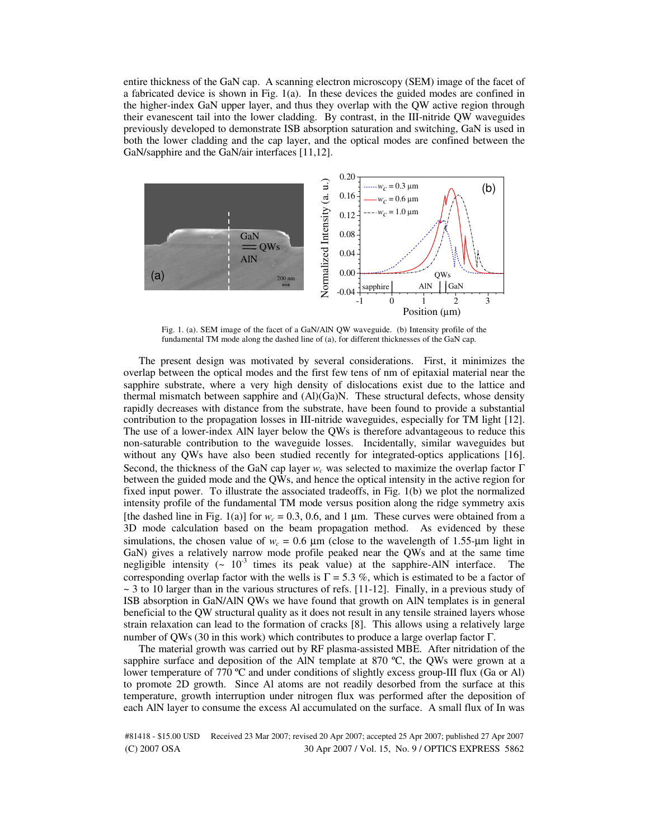entire thickness of the GaN cap. A scanning electron microscopy (SEM) image of the facet of a fabricated device is shown in Fig. 1(a). In these devices the guided modes are confined in the higher-index GaN upper layer, and thus they overlap with the QW active region through their evanescent tail into the lower cladding. By contrast, in the III-nitride QW waveguides previously developed to demonstrate ISB absorption saturation and switching, GaN is used in both the lower cladding and the cap layer, and the optical modes are confined between the GaN/sapphire and the GaN/air interfaces [11,12].



Fig. 1. (a). SEM image of the facet of a GaN/AlN QW waveguide. (b) Intensity profile of the fundamental TM mode along the dashed line of (a), for different thicknesses of the GaN cap.

The present design was motivated by several considerations. First, it minimizes the overlap between the optical modes and the first few tens of nm of epitaxial material near the sapphire substrate, where a very high density of dislocations exist due to the lattice and thermal mismatch between sapphire and  $(A)(Ga)N$ . These structural defects, whose density rapidly decreases with distance from the substrate, have been found to provide a substantial contribution to the propagation losses in III-nitride waveguides, especially for TM light [12]. The use of a lower-index AlN layer below the QWs is therefore advantageous to reduce this non-saturable contribution to the waveguide losses. Incidentally, similar waveguides but without any QWs have also been studied recently for integrated-optics applications [16]. Second, the thickness of the GaN cap layer *w<sup>c</sup>* was selected to maximize the overlap factor Γ between the guided mode and the QWs, and hence the optical intensity in the active region for fixed input power. To illustrate the associated tradeoffs, in Fig. 1(b) we plot the normalized intensity profile of the fundamental TM mode versus position along the ridge symmetry axis [the dashed line in Fig. 1(a)] for  $w_c = 0.3, 0.6,$  and 1  $\mu$ m. These curves were obtained from a 3D mode calculation based on the beam propagation method. As evidenced by these simulations, the chosen value of  $w_c = 0.6 \ \mu \text{m}$  (close to the wavelength of 1.55- $\mu \text{m}$  light in GaN) gives a relatively narrow mode profile peaked near the QWs and at the same time negligible intensity  $(\sim 10^{-3}$  times its peak value) at the sapphire-AlN interface. The corresponding overlap factor with the wells is  $\Gamma = 5.3$  %, which is estimated to be a factor of  $\sim$  3 to 10 larger than in the various structures of refs. [11-12]. Finally, in a previous study of ISB absorption in GaN/AlN QWs we have found that growth on AlN templates is in general beneficial to the QW structural quality as it does not result in any tensile strained layers whose strain relaxation can lead to the formation of cracks [8]. This allows using a relatively large number of QWs (30 in this work) which contributes to produce a large overlap factor Γ.

The material growth was carried out by RF plasma-assisted MBE. After nitridation of the sapphire surface and deposition of the AlN template at 870  $^{\circ}$ C, the QWs were grown at a lower temperature of 770 ºC and under conditions of slightly excess group-III flux (Ga or Al) to promote 2D growth. Since Al atoms are not readily desorbed from the surface at this temperature, growth interruption under nitrogen flux was performed after the deposition of each AlN layer to consume the excess Al accumulated on the surface. A small flux of In was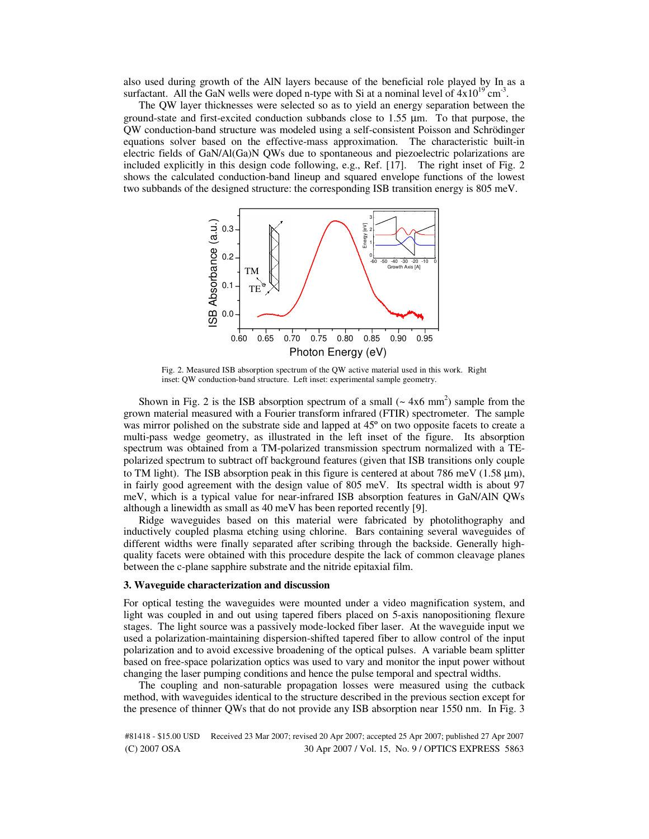also used during growth of the AlN layers because of the beneficial role played by In as a surfactant. All the GaN wells were doped n-type with Si at a nominal level of  $4x10^{19}$  cm<sup>-3</sup>.

The QW layer thicknesses were selected so as to yield an energy separation between the ground-state and first-excited conduction subbands close to 1.55 µm. To that purpose, the QW conduction-band structure was modeled using a self-consistent Poisson and Schrödinger equations solver based on the effective-mass approximation. The characteristic built-in electric fields of GaN/Al(Ga)N QWs due to spontaneous and piezoelectric polarizations are included explicitly in this design code following, e.g., Ref. [17]. The right inset of Fig. 2 shows the calculated conduction-band lineup and squared envelope functions of the lowest two subbands of the designed structure: the corresponding ISB transition energy is 805 meV.



Fig. 2. Measured ISB absorption spectrum of the QW active material used in this work. Right inset: QW conduction-band structure. Left inset: experimental sample geometry.

Shown in Fig. 2 is the ISB absorption spectrum of a small  $({\sim} 4x6 \text{ mm}^2)$  sample from the grown material measured with a Fourier transform infrared (FTIR) spectrometer. The sample was mirror polished on the substrate side and lapped at 45º on two opposite facets to create a multi-pass wedge geometry, as illustrated in the left inset of the figure. Its absorption spectrum was obtained from a TM-polarized transmission spectrum normalized with a TEpolarized spectrum to subtract off background features (given that ISB transitions only couple to TM light). The ISB absorption peak in this figure is centered at about 786 meV ( $1.58 \mu m$ ), in fairly good agreement with the design value of 805 meV. Its spectral width is about 97 meV, which is a typical value for near-infrared ISB absorption features in GaN/AlN QWs although a linewidth as small as 40 meV has been reported recently [9].

Ridge waveguides based on this material were fabricated by photolithography and inductively coupled plasma etching using chlorine. Bars containing several waveguides of different widths were finally separated after scribing through the backside. Generally highquality facets were obtained with this procedure despite the lack of common cleavage planes between the c-plane sapphire substrate and the nitride epitaxial film.

#### **3. Waveguide characterization and discussion**

For optical testing the waveguides were mounted under a video magnification system, and light was coupled in and out using tapered fibers placed on 5-axis nanopositioning flexure stages. The light source was a passively mode-locked fiber laser. At the waveguide input we used a polarization-maintaining dispersion-shifted tapered fiber to allow control of the input polarization and to avoid excessive broadening of the optical pulses. A variable beam splitter based on free-space polarization optics was used to vary and monitor the input power without changing the laser pumping conditions and hence the pulse temporal and spectral widths.

The coupling and non-saturable propagation losses were measured using the cutback method, with waveguides identical to the structure described in the previous section except for the presence of thinner QWs that do not provide any ISB absorption near 1550 nm. In Fig. 3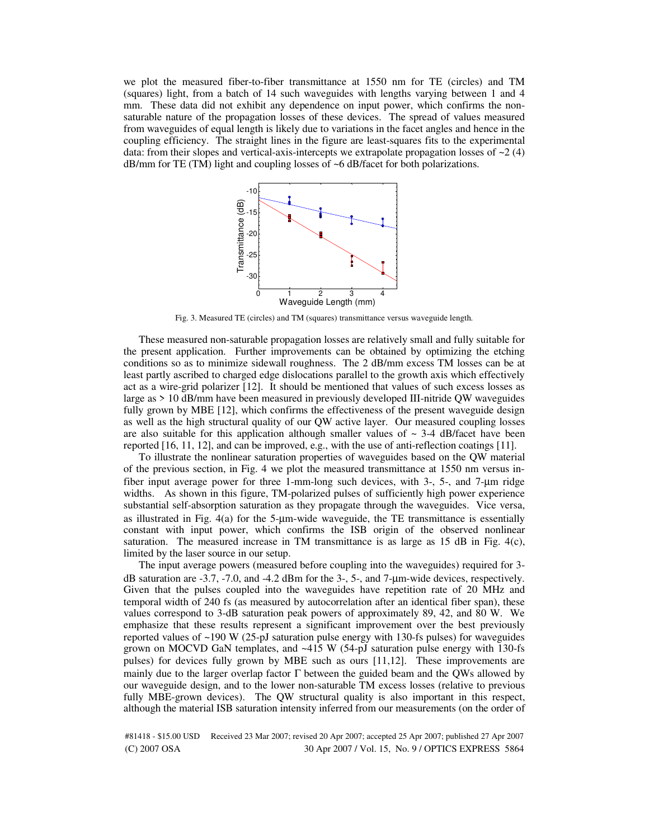we plot the measured fiber-to-fiber transmittance at 1550 nm for TE (circles) and TM (squares) light, from a batch of 14 such waveguides with lengths varying between 1 and 4 mm. These data did not exhibit any dependence on input power, which confirms the nonsaturable nature of the propagation losses of these devices. The spread of values measured from waveguides of equal length is likely due to variations in the facet angles and hence in the coupling efficiency. The straight lines in the figure are least-squares fits to the experimental data: from their slopes and vertical-axis-intercepts we extrapolate propagation losses of  $\sim$ 2 (4) dB/mm for TE (TM) light and coupling losses of ~6 dB/facet for both polarizations.



Fig. 3. Measured TE (circles) and TM (squares) transmittance versus waveguide length.

These measured non-saturable propagation losses are relatively small and fully suitable for the present application. Further improvements can be obtained by optimizing the etching conditions so as to minimize sidewall roughness. The 2 dB/mm excess TM losses can be at least partly ascribed to charged edge dislocations parallel to the growth axis which effectively act as a wire-grid polarizer [12]. It should be mentioned that values of such excess losses as large as > 10 dB/mm have been measured in previously developed III-nitride QW waveguides fully grown by MBE [12], which confirms the effectiveness of the present waveguide design as well as the high structural quality of our QW active layer. Our measured coupling losses are also suitable for this application although smaller values of  $\sim$  3-4 dB/facet have been reported [16, 11, 12], and can be improved, e.g., with the use of anti-reflection coatings [11].

To illustrate the nonlinear saturation properties of waveguides based on the QW material of the previous section, in Fig. 4 we plot the measured transmittance at 1550 nm versus infiber input average power for three 1-mm-long such devices, with 3-, 5-, and 7-µm ridge widths. As shown in this figure, TM-polarized pulses of sufficiently high power experience substantial self-absorption saturation as they propagate through the waveguides. Vice versa, as illustrated in Fig.  $4(a)$  for the 5-µm-wide waveguide, the TE transmittance is essentially constant with input power, which confirms the ISB origin of the observed nonlinear saturation. The measured increase in TM transmittance is as large as 15 dB in Fig.  $4(c)$ , limited by the laser source in our setup.

The input average powers (measured before coupling into the waveguides) required for 3 dB saturation are -3.7, -7.0, and -4.2 dBm for the 3-, 5-, and 7-µm-wide devices, respectively. Given that the pulses coupled into the waveguides have repetition rate of 20 MHz and temporal width of 240 fs (as measured by autocorrelation after an identical fiber span), these values correspond to 3-dB saturation peak powers of approximately 89, 42, and 80 W. We emphasize that these results represent a significant improvement over the best previously reported values of ~190 W (25-pJ saturation pulse energy with 130-fs pulses) for waveguides grown on MOCVD GaN templates, and ~415 W (54-pJ saturation pulse energy with 130-fs pulses) for devices fully grown by MBE such as ours [11,12]. These improvements are mainly due to the larger overlap factor  $\Gamma$  between the guided beam and the QWs allowed by our waveguide design, and to the lower non-saturable TM excess losses (relative to previous fully MBE-grown devices). The QW structural quality is also important in this respect, although the material ISB saturation intensity inferred from our measurements (on the order of